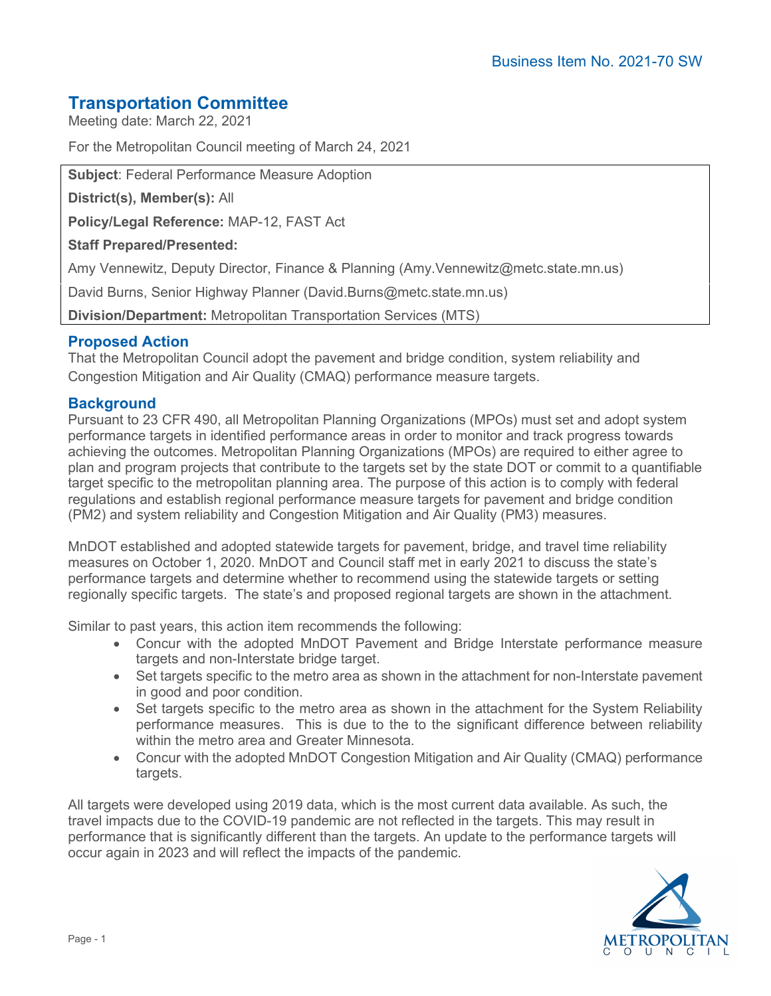# **Transportation Committee**

Meeting date: March 22, 2021

For the Metropolitan Council meeting of March 24, 2021

**Subject**: Federal Performance Measure Adoption

**District(s), Member(s):** All

**Policy/Legal Reference:** MAP-12, FAST Act

## **Staff Prepared/Presented:**

Amy Vennewitz, Deputy Director, Finance & Planning (Amy.Vennewitz@metc.state.mn.us)

David Burns, Senior Highway Planner (David.Burns@metc.state.mn.us)

**Division/Department:** Metropolitan Transportation Services (MTS)

# **Proposed Action**

That the Metropolitan Council adopt the pavement and bridge condition, system reliability and Congestion Mitigation and Air Quality (CMAQ) performance measure targets.

# **Background**

Pursuant to 23 CFR 490, all Metropolitan Planning Organizations (MPOs) must set and adopt system performance targets in identified performance areas in order to monitor and track progress towards achieving the outcomes. Metropolitan Planning Organizations (MPOs) are required to either agree to plan and program projects that contribute to the targets set by the state DOT or commit to a quantifiable target specific to the metropolitan planning area. The purpose of this action is to comply with federal regulations and establish regional performance measure targets for pavement and bridge condition (PM2) and system reliability and Congestion Mitigation and Air Quality (PM3) measures.

MnDOT established and adopted statewide targets for pavement, bridge, and travel time reliability measures on October 1, 2020. MnDOT and Council staff met in early 2021 to discuss the state's performance targets and determine whether to recommend using the statewide targets or setting regionally specific targets. The state's and proposed regional targets are shown in the attachment.

Similar to past years, this action item recommends the following:

- Concur with the adopted MnDOT Pavement and Bridge Interstate performance measure targets and non-Interstate bridge target.
- Set targets specific to the metro area as shown in the attachment for non-Interstate pavement in good and poor condition.
- Set targets specific to the metro area as shown in the attachment for the System Reliability performance measures. This is due to the to the significant difference between reliability within the metro area and Greater Minnesota.
- Concur with the adopted MnDOT Congestion Mitigation and Air Quality (CMAQ) performance targets.

All targets were developed using 2019 data, which is the most current data available. As such, the travel impacts due to the COVID-19 pandemic are not reflected in the targets. This may result in performance that is significantly different than the targets. An update to the performance targets will occur again in 2023 and will reflect the impacts of the pandemic.

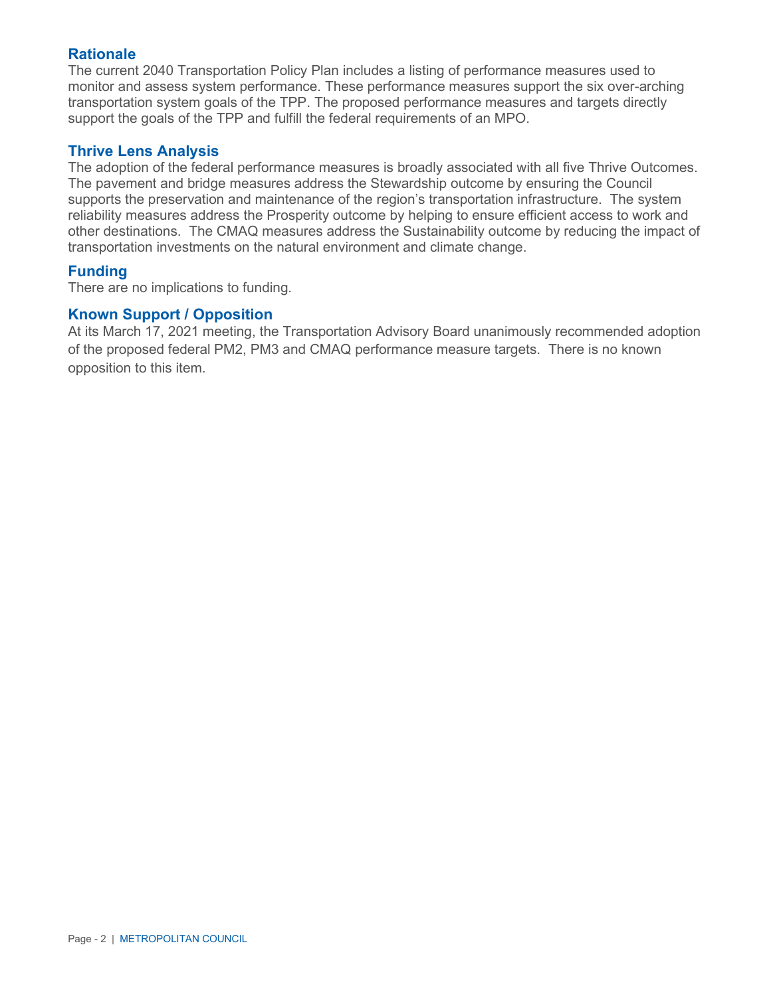# **Rationale**

The current 2040 Transportation Policy Plan includes a listing of performance measures used to monitor and assess system performance. These performance measures support the six over-arching transportation system goals of the TPP. The proposed performance measures and targets directly support the goals of the TPP and fulfill the federal requirements of an MPO.

# **Thrive Lens Analysis**

The adoption of the federal performance measures is broadly associated with all five Thrive Outcomes. The pavement and bridge measures address the Stewardship outcome by ensuring the Council supports the preservation and maintenance of the region's transportation infrastructure. The system reliability measures address the Prosperity outcome by helping to ensure efficient access to work and other destinations. The CMAQ measures address the Sustainability outcome by reducing the impact of transportation investments on the natural environment and climate change.

## **Funding**

There are no implications to funding.

## **Known Support / Opposition**

At its March 17, 2021 meeting, the Transportation Advisory Board unanimously recommended adoption of the proposed federal PM2, PM3 and CMAQ performance measure targets. There is no known opposition to this item.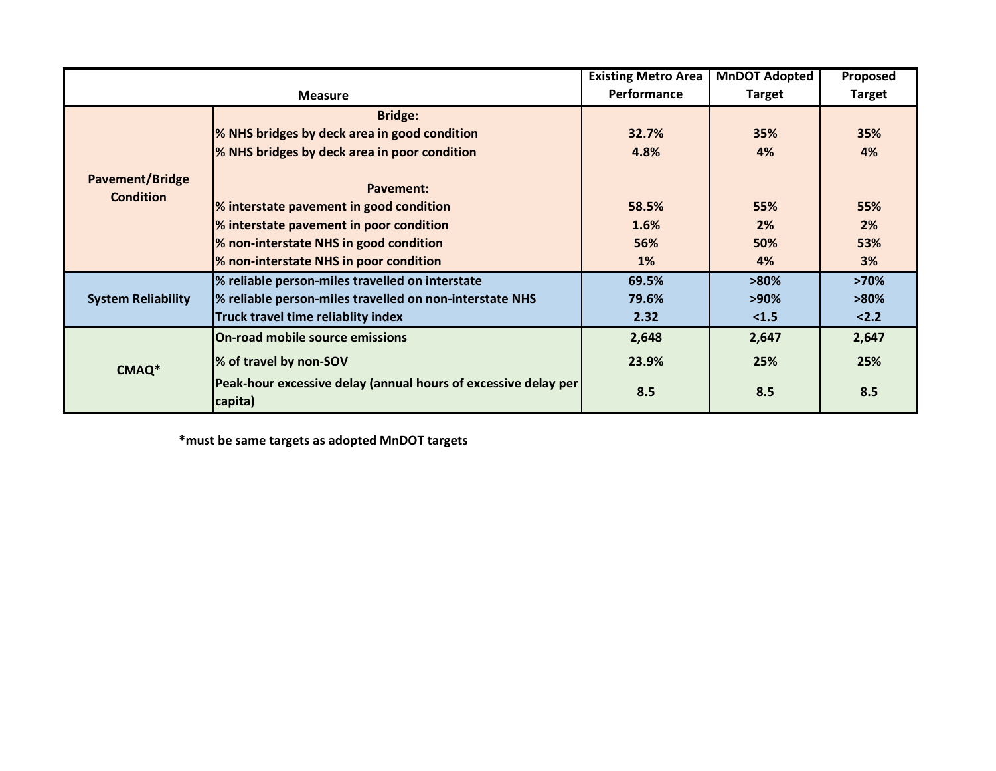|                                     |                                                                           | <b>Existing Metro Area</b> | <b>MnDOT Adopted</b> | Proposed      |
|-------------------------------------|---------------------------------------------------------------------------|----------------------------|----------------------|---------------|
| <b>Measure</b>                      |                                                                           | Performance                | <b>Target</b>        | <b>Target</b> |
| Pavement/Bridge<br><b>Condition</b> | <b>Bridge:</b>                                                            |                            |                      |               |
|                                     | % NHS bridges by deck area in good condition                              | 32.7%                      | 35%                  | 35%           |
|                                     | % NHS bridges by deck area in poor condition                              | 4.8%                       | 4%                   | 4%            |
|                                     | Pavement:                                                                 |                            |                      |               |
|                                     | % interstate pavement in good condition                                   | 58.5%                      | 55%                  | 55%           |
|                                     | % interstate pavement in poor condition                                   | 1.6%                       | 2%                   | 2%            |
|                                     | % non-interstate NHS in good condition                                    | 56%                        | 50%                  | 53%           |
|                                     | % non-interstate NHS in poor condition                                    | 1%                         | 4%                   | 3%            |
| <b>System Reliability</b>           | % reliable person-miles travelled on interstate                           | 69.5%                      | $>80\%$              | >70%          |
|                                     | % reliable person-miles travelled on non-interstate NHS                   | 79.6%                      | $>90\%$              | $>80\%$       |
|                                     | Truck travel time reliablity index                                        | 2.32                       | < 1.5                | 2.2           |
| CMAQ*                               | <b>On-road mobile source emissions</b>                                    | 2,648                      | 2,647                | 2,647         |
|                                     | % of travel by non-SOV                                                    | 23.9%                      | 25%                  | 25%           |
|                                     | Peak-hour excessive delay (annual hours of excessive delay per<br>capita) | 8.5                        | 8.5                  | 8.5           |

**\*must be same targets as adopted MnDOT targets**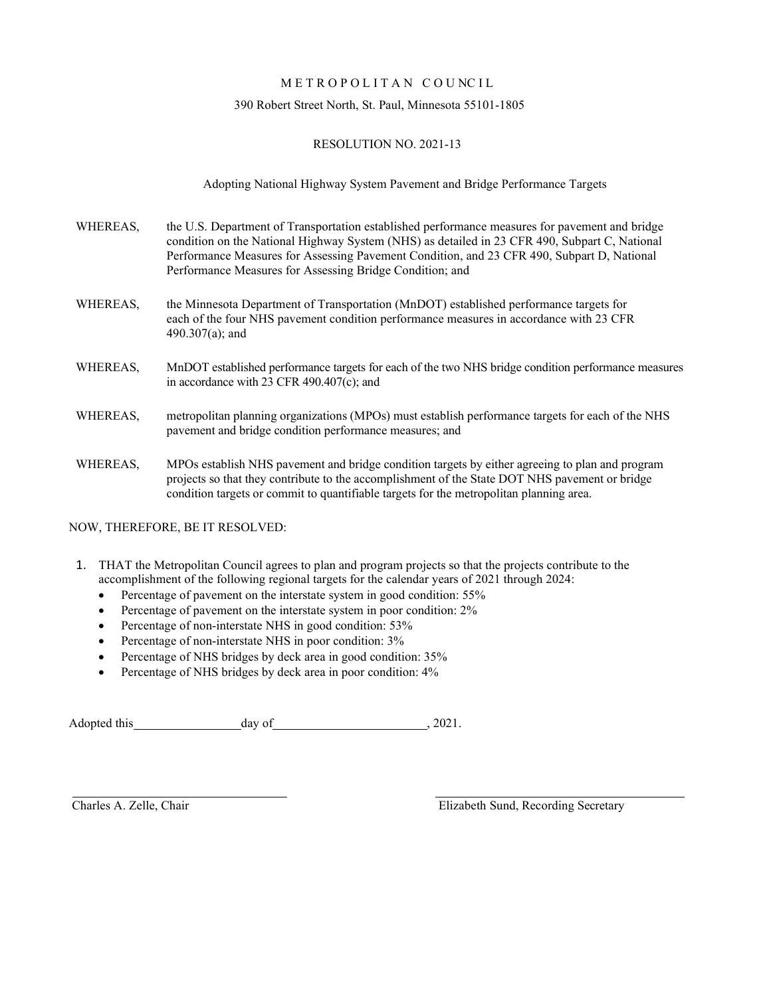#### METROPOLITAN COUNCIL

#### 390 Robert Street North, St. Paul, Minnesota 55101-1805

#### RESOLUTION NO. 2021-13

Adopting National Highway System Pavement and Bridge Performance Targets

- WHEREAS, the U.S. Department of Transportation established performance measures for pavement and bridge condition on the National Highway System (NHS) as detailed in 23 CFR 490, Subpart C, National Performance Measures for Assessing Pavement Condition, and 23 CFR 490, Subpart D, National Performance Measures for Assessing Bridge Condition; and
- WHEREAS, the Minnesota Department of Transportation (MnDOT) established performance targets for each of the four NHS pavement condition performance measures in accordance with 23 CFR 490.307(a); and
- WHEREAS, MnDOT established performance targets for each of the two NHS bridge condition performance measures in accordance with 23 CFR 490.407(c); and
- WHEREAS, metropolitan planning organizations (MPOs) must establish performance targets for each of the NHS pavement and bridge condition performance measures; and
- WHEREAS, MPOs establish NHS pavement and bridge condition targets by either agreeing to plan and program projects so that they contribute to the accomplishment of the State DOT NHS pavement or bridge condition targets or commit to quantifiable targets for the metropolitan planning area.

NOW, THEREFORE, BE IT RESOLVED:

- 1. THAT the Metropolitan Council agrees to plan and program projects so that the projects contribute to the accomplishment of the following regional targets for the calendar years of 2021 through 2024:
	- Percentage of pavement on the interstate system in good condition: 55%
	- Percentage of pavement on the interstate system in poor condition: 2%
	- Percentage of non-interstate NHS in good condition: 53%
	- Percentage of non-interstate NHS in poor condition:  $3\%$
	- Percentage of NHS bridges by deck area in good condition: 35%
	- Percentage of NHS bridges by deck area in poor condition:  $4\%$

Adopted this day of , 2021.

Charles A. Zelle, Chair Elizabeth Sund, Recording Secretary